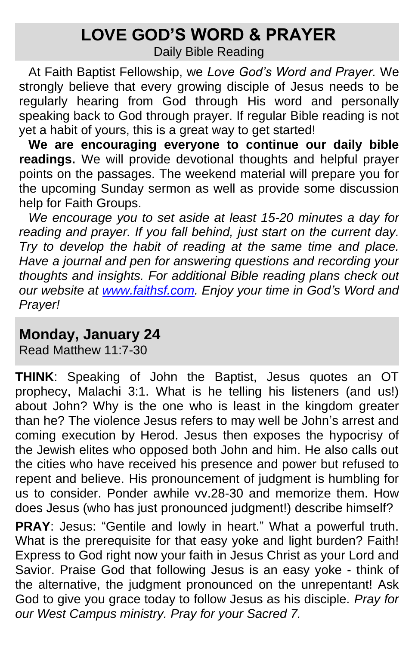# **LOVE GOD'S WORD & PRAYER**

Daily Bible Reading

At Faith Baptist Fellowship, we *Love God's Word and Prayer.* We strongly believe that every growing disciple of Jesus needs to be regularly hearing from God through His word and personally speaking back to God through prayer. If regular Bible reading is not yet a habit of yours, this is a great way to get started!

**We are encouraging everyone to continue our daily bible readings.** We will provide devotional thoughts and helpful prayer points on the passages. The weekend material will prepare you for the upcoming Sunday sermon as well as provide some discussion help for Faith Groups.

*We encourage you to set aside at least 15-20 minutes a day for reading and prayer. If you fall behind, just start on the current day. Try to develop the habit of reading at the same time and place. Have a journal and pen for answering questions and recording your thoughts and insights. For additional Bible reading plans check out our website at [www.faithsf.com.](http://www.faithsf.com/) Enjoy your time in God's Word and Prayer!*

#### **Monday, January 24**

Read Matthew 11:7-30

**THINK**: Speaking of John the Baptist, Jesus quotes an OT prophecy, Malachi 3:1. What is he telling his listeners (and us!) about John? Why is the one who is least in the kingdom greater than he? The violence Jesus refers to may well be John's arrest and coming execution by Herod. Jesus then exposes the hypocrisy of the Jewish elites who opposed both John and him. He also calls out the cities who have received his presence and power but refused to repent and believe. His pronouncement of judgment is humbling for us to consider. Ponder awhile vv.28-30 and memorize them. How does Jesus (who has just pronounced judgment!) describe himself?

**PRAY**: Jesus: "Gentile and lowly in heart." What a powerful truth. What is the prerequisite for that easy yoke and light burden? Faith! Express to God right now your faith in Jesus Christ as your Lord and Savior. Praise God that following Jesus is an easy yoke - think of the alternative, the judgment pronounced on the unrepentant! Ask God to give you grace today to follow Jesus as his disciple. *Pray for our West Campus ministry. Pray for your Sacred 7.*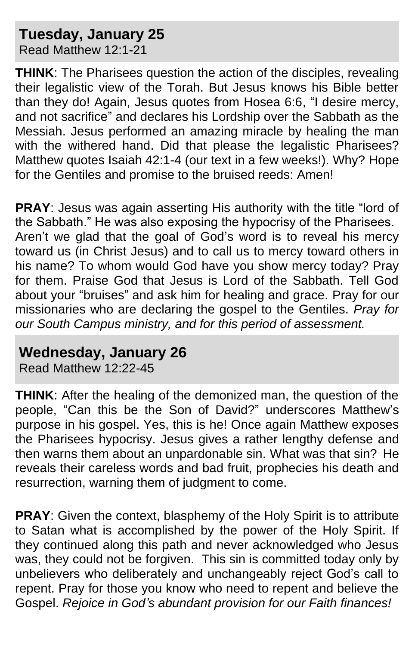## **Tuesday, January 25**

Read Matthew 12:1-21

**THINK**: The Pharisees question the action of the disciples, revealing their legalistic view of the Torah. But Jesus knows his Bible better than they do! Again, Jesus quotes from Hosea 6:6, "I desire mercy, and not sacrifice" and declares his Lordship over the Sabbath as the Messiah. Jesus performed an amazing miracle by healing the man with the withered hand. Did that please the legalistic Pharisees? Matthew quotes Isaiah 42:1-4 (our text in a few weeks!). Why? Hope for the Gentiles and promise to the bruised reeds: Amen!

**PRAY:** Jesus was again asserting His authority with the title "lord of the Sabbath." He was also exposing the hypocrisy of the Pharisees. Aren't we glad that the goal of God's word is to reveal his mercy toward us (in Christ Jesus) and to call us to mercy toward others in his name? To whom would God have you show mercy today? Pray for them. Praise God that Jesus is Lord of the Sabbath. Tell God about your "bruises" and ask him for healing and grace. Pray for our missionaries who are declaring the gospel to the Gentiles. *Pray for our South Campus ministry, and for this period of assessment.* 

#### **Wednesday, January 26**

Read Matthew 12:22-45

**THINK**: After the healing of the demonized man, the question of the people, "Can this be the Son of David?" underscores Matthew's purpose in his gospel. Yes, this is he! Once again Matthew exposes the Pharisees hypocrisy. Jesus gives a rather lengthy defense and then warns them about an unpardonable sin. What was that sin? He reveals their careless words and bad fruit, prophecies his death and resurrection, warning them of judgment to come.

**PRAY:** Given the context, blasphemy of the Holy Spirit is to attribute to Satan what is accomplished by the power of the Holy Spirit. If they continued along this path and never acknowledged who Jesus was, they could not be forgiven. This sin is committed today only by unbelievers who deliberately and unchangeably reject God's call to repent. Pray for those you know who need to repent and believe the Gospel. *Rejoice in God's abundant provision for our Faith finances!*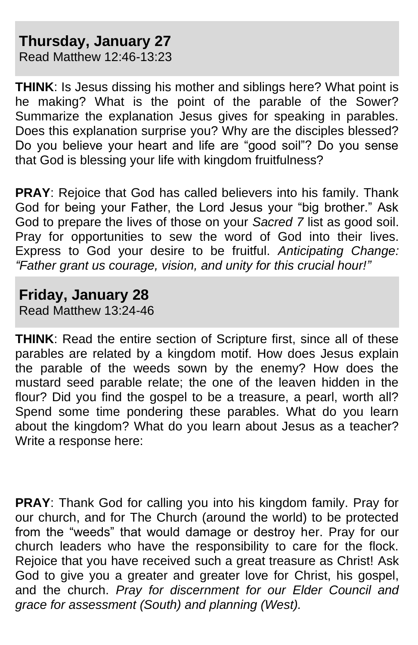### **Thursday, January 27**

Read Matthew 12:46-13:23

**THINK**: Is Jesus dissing his mother and siblings here? What point is he making? What is the point of the parable of the Sower? Summarize the explanation Jesus gives for speaking in parables. Does this explanation surprise you? Why are the disciples blessed? Do you believe your heart and life are "good soil"? Do you sense that God is blessing your life with kingdom fruitfulness?

**PRAY**: Rejoice that God has called believers into his family. Thank God for being your Father, the Lord Jesus your "big brother." Ask God to prepare the lives of those on your *Sacred 7* list as good soil. Pray for opportunities to sew the word of God into their lives. Express to God your desire to be fruitful. *Anticipating Change: "Father grant us courage, vision, and unity for this crucial hour!"*

#### **Friday, January 28**

Read Matthew 13:24-46

**THINK**: Read the entire section of Scripture first, since all of these parables are related by a kingdom motif. How does Jesus explain the parable of the weeds sown by the enemy? How does the mustard seed parable relate; the one of the leaven hidden in the flour? Did you find the gospel to be a treasure, a pearl, worth all? Spend some time pondering these parables. What do you learn about the kingdom? What do you learn about Jesus as a teacher? Write a response here:

**PRAY**: Thank God for calling you into his kingdom family. Pray for our church, and for The Church (around the world) to be protected from the "weeds" that would damage or destroy her. Pray for our church leaders who have the responsibility to care for the flock. Rejoice that you have received such a great treasure as Christ! Ask God to give you a greater and greater love for Christ, his gospel, and the church. *Pray for discernment for our Elder Council and grace for assessment (South) and planning (West).*